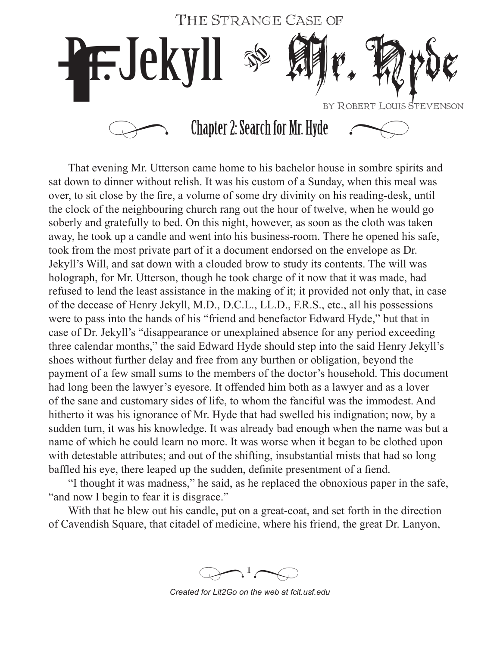

That evening Mr. Utterson came home to his bachelor house in sombre spirits and sat down to dinner without relish. It was his custom of a Sunday, when this meal was over, to sit close by the fire, a volume of some dry divinity on his reading-desk, until the clock of the neighbouring church rang out the hour of twelve, when he would go soberly and gratefully to bed. On this night, however, as soon as the cloth was taken away, he took up a candle and went into his business-room. There he opened his safe, took from the most private part of it a document endorsed on the envelope as Dr. Jekyll's Will, and sat down with a clouded brow to study its contents. The will was holograph, for Mr. Utterson, though he took charge of it now that it was made, had refused to lend the least assistance in the making of it; it provided not only that, in case of the decease of Henry Jekyll, M.D., D.C.L., LL.D., F.R.S., etc., all his possessions were to pass into the hands of his "friend and benefactor Edward Hyde," but that in case of Dr. Jekyll's "disappearance or unexplained absence for any period exceeding three calendar months," the said Edward Hyde should step into the said Henry Jekyll's shoes without further delay and free from any burthen or obligation, beyond the payment of a few small sums to the members of the doctor's household. This document had long been the lawyer's eyesore. It offended him both as a lawyer and as a lover of the sane and customary sides of life, to whom the fanciful was the immodest. And hitherto it was his ignorance of Mr. Hyde that had swelled his indignation; now, by a sudden turn, it was his knowledge. It was already bad enough when the name was but a name of which he could learn no more. It was worse when it began to be clothed upon with detestable attributes; and out of the shifting, insubstantial mists that had so long baffled his eye, there leaped up the sudden, definite presentment of a fiend.

"I thought it was madness," he said, as he replaced the obnoxious paper in the safe, "and now I begin to fear it is disgrace."

With that he blew out his candle, put on a great-coat, and set forth in the direction of Cavendish Square, that citadel of medicine, where his friend, the great Dr. Lanyon,

 $\sum_{i=1}^{n}$  $\bigoplus$ 

*Created for Lit2Go on the web at fcit.usf.edu*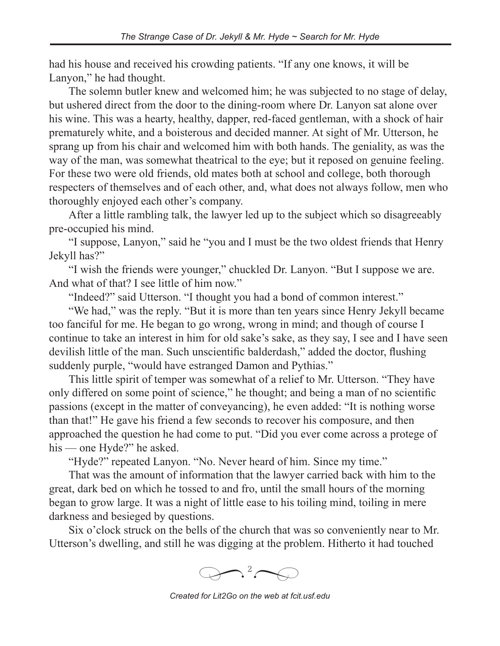had his house and received his crowding patients. "If any one knows, it will be Lanyon," he had thought.

The solemn butler knew and welcomed him; he was subjected to no stage of delay, but ushered direct from the door to the dining-room where Dr. Lanyon sat alone over his wine. This was a hearty, healthy, dapper, red-faced gentleman, with a shock of hair prematurely white, and a boisterous and decided manner. At sight of Mr. Utterson, he sprang up from his chair and welcomed him with both hands. The geniality, as was the way of the man, was somewhat theatrical to the eye; but it reposed on genuine feeling. For these two were old friends, old mates both at school and college, both thorough respecters of themselves and of each other, and, what does not always follow, men who thoroughly enjoyed each other's company.

After a little rambling talk, the lawyer led up to the subject which so disagreeably pre-occupied his mind.

"I suppose, Lanyon," said he "you and I must be the two oldest friends that Henry Jekyll has?"

"I wish the friends were younger," chuckled Dr. Lanyon. "But I suppose we are. And what of that? I see little of him now."

"Indeed?" said Utterson. "I thought you had a bond of common interest."

"We had," was the reply. "But it is more than ten years since Henry Jekyll became too fanciful for me. He began to go wrong, wrong in mind; and though of course I continue to take an interest in him for old sake's sake, as they say, I see and I have seen devilish little of the man. Such unscientific balderdash," added the doctor, flushing suddenly purple, "would have estranged Damon and Pythias."

This little spirit of temper was somewhat of a relief to Mr. Utterson. "They have only differed on some point of science," he thought; and being a man of no scientific passions (except in the matter of conveyancing), he even added: "It is nothing worse than that!" He gave his friend a few seconds to recover his composure, and then approached the question he had come to put. "Did you ever come across a protege of his — one Hyde?" he asked.

"Hyde?" repeated Lanyon. "No. Never heard of him. Since my time."

That was the amount of information that the lawyer carried back with him to the great, dark bed on which he tossed to and fro, until the small hours of the morning began to grow large. It was a night of little ease to his toiling mind, toiling in mere darkness and besieged by questions.

Six o'clock struck on the bells of the church that was so conveniently near to Mr. Utterson's dwelling, and still he was digging at the problem. Hitherto it had touched



*Created for Lit2Go on the web at fcit.usf.edu*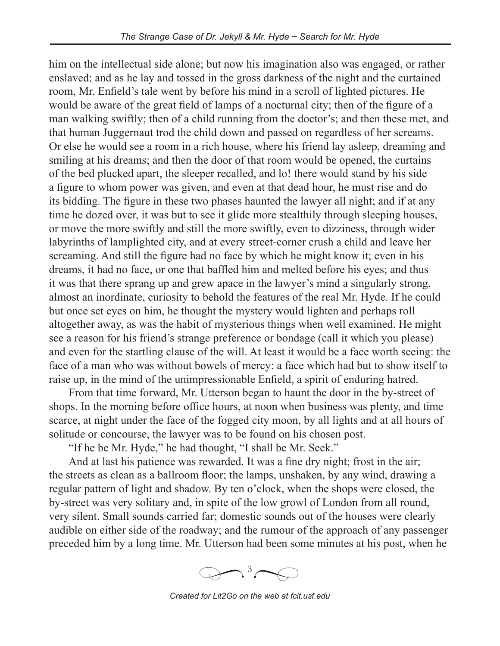him on the intellectual side alone; but now his imagination also was engaged, or rather enslaved; and as he lay and tossed in the gross darkness of the night and the curtained room, Mr. Enfield's tale went by before his mind in a scroll of lighted pictures. He would be aware of the great field of lamps of a nocturnal city; then of the figure of a man walking swiftly; then of a child running from the doctor's; and then these met, and that human Juggernaut trod the child down and passed on regardless of her screams. Or else he would see a room in a rich house, where his friend lay asleep, dreaming and smiling at his dreams; and then the door of that room would be opened, the curtains of the bed plucked apart, the sleeper recalled, and lo! there would stand by his side a figure to whom power was given, and even at that dead hour, he must rise and do its bidding. The figure in these two phases haunted the lawyer all night; and if at any time he dozed over, it was but to see it glide more stealthily through sleeping houses, or move the more swiftly and still the more swiftly, even to dizziness, through wider labyrinths of lamplighted city, and at every street-corner crush a child and leave her screaming. And still the figure had no face by which he might know it; even in his dreams, it had no face, or one that baffled him and melted before his eyes; and thus it was that there sprang up and grew apace in the lawyer's mind a singularly strong, almost an inordinate, curiosity to behold the features of the real Mr. Hyde. If he could but once set eyes on him, he thought the mystery would lighten and perhaps roll altogether away, as was the habit of mysterious things when well examined. He might see a reason for his friend's strange preference or bondage (call it which you please) and even for the startling clause of the will. At least it would be a face worth seeing: the face of a man who was without bowels of mercy: a face which had but to show itself to raise up, in the mind of the unimpressionable Enfield, a spirit of enduring hatred.

From that time forward, Mr. Utterson began to haunt the door in the by-street of shops. In the morning before office hours, at noon when business was plenty, and time scarce, at night under the face of the fogged city moon, by all lights and at all hours of solitude or concourse, the lawyer was to be found on his chosen post.

"If he be Mr. Hyde," he had thought, "I shall be Mr. Seek."

And at last his patience was rewarded. It was a fine dry night; frost in the air; the streets as clean as a ballroom floor; the lamps, unshaken, by any wind, drawing a regular pattern of light and shadow. By ten o'clock, when the shops were closed, the by-street was very solitary and, in spite of the low growl of London from all round, very silent. Small sounds carried far; domestic sounds out of the houses were clearly audible on either side of the roadway; and the rumour of the approach of any passenger preceded him by a long time. Mr. Utterson had been some minutes at his post, when he



*Created for Lit2Go on the web at fcit.usf.edu*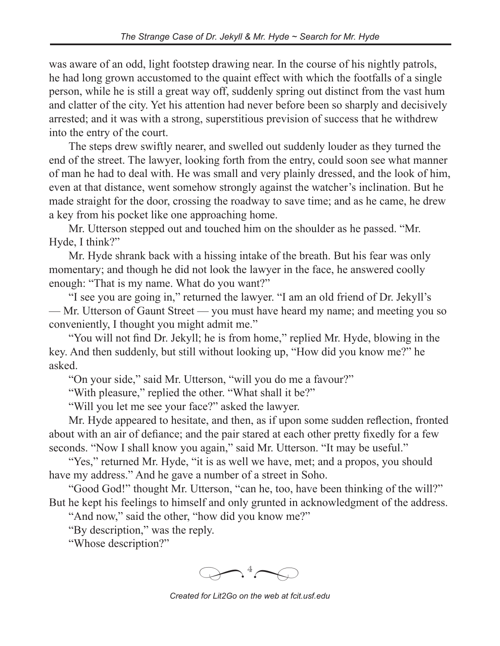was aware of an odd, light footstep drawing near. In the course of his nightly patrols, he had long grown accustomed to the quaint effect with which the footfalls of a single person, while he is still a great way off, suddenly spring out distinct from the vast hum and clatter of the city. Yet his attention had never before been so sharply and decisively arrested; and it was with a strong, superstitious prevision of success that he withdrew into the entry of the court.

The steps drew swiftly nearer, and swelled out suddenly louder as they turned the end of the street. The lawyer, looking forth from the entry, could soon see what manner of man he had to deal with. He was small and very plainly dressed, and the look of him, even at that distance, went somehow strongly against the watcher's inclination. But he made straight for the door, crossing the roadway to save time; and as he came, he drew a key from his pocket like one approaching home.

Mr. Utterson stepped out and touched him on the shoulder as he passed. "Mr. Hyde, I think?"

Mr. Hyde shrank back with a hissing intake of the breath. But his fear was only momentary; and though he did not look the lawyer in the face, he answered coolly enough: "That is my name. What do you want?"

"I see you are going in," returned the lawyer. "I am an old friend of Dr. Jekyll's — Mr. Utterson of Gaunt Street — you must have heard my name; and meeting you so conveniently, I thought you might admit me."

"You will not find Dr. Jekyll; he is from home," replied Mr. Hyde, blowing in the key. And then suddenly, but still without looking up, "How did you know me?" he asked.

"On your side," said Mr. Utterson, "will you do me a favour?"

"With pleasure," replied the other. "What shall it be?"

"Will you let me see your face?" asked the lawyer.

Mr. Hyde appeared to hesitate, and then, as if upon some sudden reflection, fronted about with an air of defiance; and the pair stared at each other pretty fixedly for a few seconds. "Now I shall know you again," said Mr. Utterson. "It may be useful."

"Yes," returned Mr. Hyde, "it is as well we have, met; and a propos, you should have my address." And he gave a number of a street in Soho.

"Good God!" thought Mr. Utterson, "can he, too, have been thinking of the will?" But he kept his feelings to himself and only grunted in acknowledgment of the address.

"And now," said the other, "how did you know me?"

"By description," was the reply.

"Whose description?"



*Created for Lit2Go on the web at fcit.usf.edu*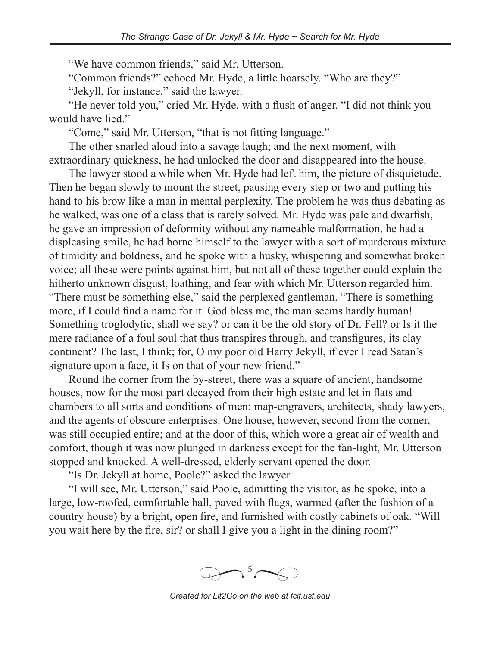"We have common friends," said Mr. Utterson.

"Common friends?" echoed Mr. Hyde, a little hoarsely. "Who are they?"

"Jekyll, for instance," said the lawyer.

"He never told you," cried Mr. Hyde, with a flush of anger. "I did not think you would have lied."

"Come," said Mr. Utterson, "that is not fitting language."

The other snarled aloud into a savage laugh; and the next moment, with extraordinary quickness, he had unlocked the door and disappeared into the house.

The lawyer stood a while when Mr. Hyde had left him, the picture of disquietude. Then he began slowly to mount the street, pausing every step or two and putting his hand to his brow like a man in mental perplexity. The problem he was thus debating as he walked, was one of a class that is rarely solved. Mr. Hyde was pale and dwarfish, he gave an impression of deformity without any nameable malformation, he had a displeasing smile, he had borne himself to the lawyer with a sort of murderous mixture of timidity and boldness, and he spoke with a husky, whispering and somewhat broken voice; all these were points against him, but not all of these together could explain the hitherto unknown disgust, loathing, and fear with which Mr. Utterson regarded him. "There must be something else," said the perplexed gentleman. "There is something more, if I could find a name for it. God bless me, the man seems hardly human! Something troglodytic, shall we say? or can it be the old story of Dr. Fell? or Is it the mere radiance of a foul soul that thus transpires through, and transfigures, its clay

continent? The last, I think; for, O my poor old Harry Jekyll, if ever I read Satan's signature upon a face, it Is on that of your new friend."

Round the corner from the by-street, there was a square of ancient, handsome houses, now for the most part decayed from their high estate and let in flats and chambers to all sorts and conditions of men: map-engravers, architects, shady lawyers, and the agents of obscure enterprises. One house, however, second from the corner, was still occupied entire; and at the door of this, which wore a great air of wealth and comfort, though it was now plunged in darkness except for the fan-light, Mr. Utterson stopped and knocked. A well-dressed, elderly servant opened the door.

"Is Dr. Jekyll at home, Poole?" asked the lawyer.

"I will see, Mr. Utterson," said Poole, admitting the visitor, as he spoke, into a large, low-roofed, comfortable hall, paved with flags, warmed (after the fashion of a country house) by a bright, open fire, and furnished with costly cabinets of oak. "Will you wait here by the fire, sir? or shall I give you a light in the dining room?"

 $\bigcirc$   $\uparrow$ <sup>5</sup> *�*

*Created for Lit2Go on the web at fcit.usf.edu*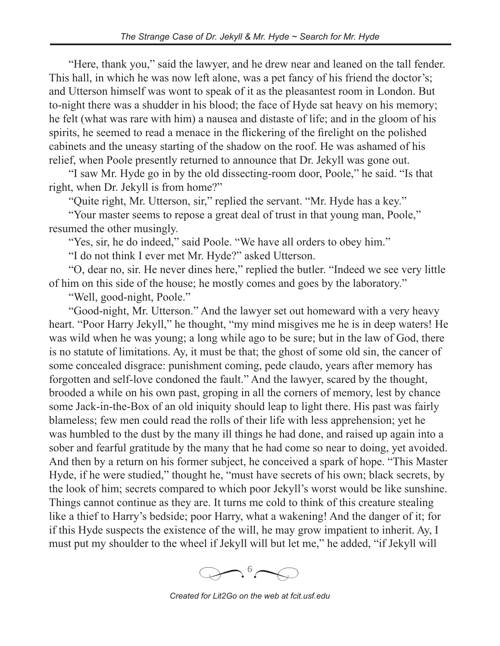"Here, thank you," said the lawyer, and he drew near and leaned on the tall fender. This hall, in which he was now left alone, was a pet fancy of his friend the doctor's; and Utterson himself was wont to speak of it as the pleasantest room in London. But to-night there was a shudder in his blood; the face of Hyde sat heavy on his memory; he felt (what was rare with him) a nausea and distaste of life; and in the gloom of his spirits, he seemed to read a menace in the flickering of the firelight on the polished cabinets and the uneasy starting of the shadow on the roof. He was ashamed of his relief, when Poole presently returned to announce that Dr. Jekyll was gone out.

"I saw Mr. Hyde go in by the old dissecting-room door, Poole," he said. "Is that right, when Dr. Jekyll is from home?"

"Quite right, Mr. Utterson, sir," replied the servant. "Mr. Hyde has a key."

"Your master seems to repose a great deal of trust in that young man, Poole," resumed the other musingly.

"Yes, sir, he do indeed," said Poole. "We have all orders to obey him."

"I do not think I ever met Mr. Hyde?" asked Utterson.

"O, dear no, sir. He never dines here," replied the butler. "Indeed we see very little of him on this side of the house; he mostly comes and goes by the laboratory."

"Well, good-night, Poole."

"Good-night, Mr. Utterson." And the lawyer set out homeward with a very heavy heart. "Poor Harry Jekyll," he thought, "my mind misgives me he is in deep waters! He was wild when he was young; a long while ago to be sure; but in the law of God, there is no statute of limitations. Ay, it must be that; the ghost of some old sin, the cancer of some concealed disgrace: punishment coming, pede claudo, years after memory has forgotten and self-love condoned the fault." And the lawyer, scared by the thought, brooded a while on his own past, groping in all the corners of memory, lest by chance some Jack-in-the-Box of an old iniquity should leap to light there. His past was fairly blameless; few men could read the rolls of their life with less apprehension; yet he was humbled to the dust by the many ill things he had done, and raised up again into a sober and fearful gratitude by the many that he had come so near to doing, yet avoided. And then by a return on his former subject, he conceived a spark of hope. "This Master Hyde, if he were studied," thought he, "must have secrets of his own; black secrets, by the look of him; secrets compared to which poor Jekyll's worst would be like sunshine. Things cannot continue as they are. It turns me cold to think of this creature stealing like a thief to Harry's bedside; poor Harry, what a wakening! And the danger of it; for if this Hyde suspects the existence of the will, he may grow impatient to inherit. Ay, I must put my shoulder to the wheel if Jekyll will but let me," he added, "if Jekyll will



*Created for Lit2Go on the web at fcit.usf.edu*